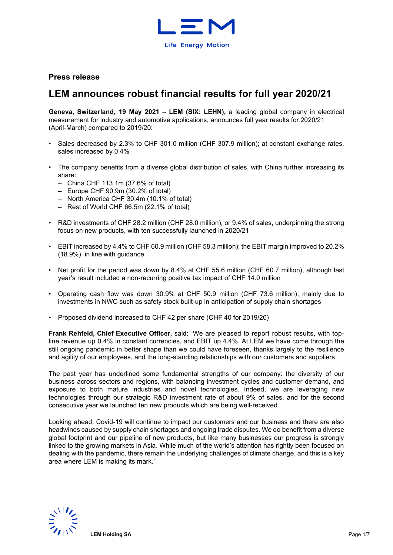

## **Press release**

# **LEM announces robust financial results for full year 2020/21**

**Geneva, Switzerland, 19 May 2021 – LEM (SIX: LEHN),** a leading global company in electrical measurement for industry and automotive applications, announces full year results for 2020/21 (April-March) compared to 2019/20:

- Sales decreased by 2.3% to CHF 301.0 million (CHF 307.9 million); at constant exchange rates, sales increased by 0.4%
- The company benefits from a diverse global distribution of sales, with China further increasing its share:
	- China CHF 113.1m (37.6% of total)
	- Europe CHF 90.9m (30.2% of total)
	- North America CHF 30.4m (10.1% of total)
	- Rest of World CHF 66.5m (22.1% of total)
- R&D investments of CHF 28.2 million (CHF 28.0 million), or 9.4% of sales, underpinning the strong focus on new products, with ten successfully launched in 2020/21
- EBIT increased by 4.4% to CHF 60.9 million (CHF 58.3 million); the EBIT margin improved to 20.2% (18.9%), in line with guidance
- Net profit for the period was down by 8.4% at CHF 55.6 million (CHF 60.7 million), although last year's result included a non-recurring positive tax impact of CHF 14.0 million
- Operating cash flow was down 30.9% at CHF 50.9 million (CHF 73.6 million), mainly due to investments in NWC such as safety stock built-up in anticipation of supply chain shortages
- Proposed dividend increased to CHF 42 per share (CHF 40 for 2019/20)

**Frank Rehfeld, Chief Executive Officer,** said: "We are pleased to report robust results, with topline revenue up 0.4% in constant currencies, and EBIT up 4.4%. At LEM we have come through the still ongoing pandemic in better shape than we could have foreseen, thanks largely to the resilience and agility of our employees, and the long-standing relationships with our customers and suppliers.

The past year has underlined some fundamental strengths of our company: the diversity of our business across sectors and regions, with balancing investment cycles and customer demand, and exposure to both mature industries and novel technologies. Indeed, we are leveraging new technologies through our strategic R&D investment rate of about 9% of sales, and for the second consecutive year we launched ten new products which are being well-received.

Looking ahead, Covid-19 will continue to impact our customers and our business and there are also headwinds caused by supply chain shortages and ongoing trade disputes. We do benefit from a diverse global footprint and our pipeline of new products, but like many businesses our progress is strongly linked to the growing markets in Asia. While much of the world's attention has rightly been focused on dealing with the pandemic, there remain the underlying challenges of climate change, and this is a key area where LEM is making its mark."

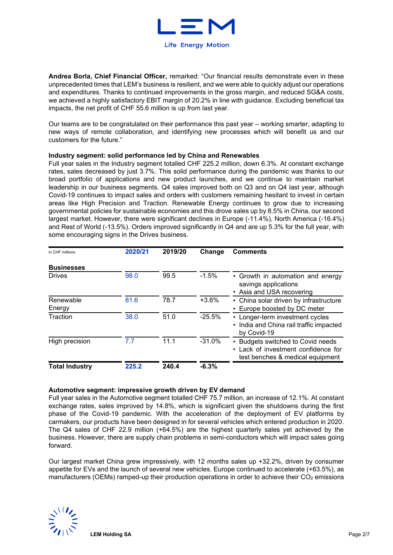

**Andrea Borla, Chief Financial Officer,** remarked: "Our financial results demonstrate even in these unprecedented times that LEM's business is resilient, and we were able to quickly adjust our operations and expenditures. Thanks to continued improvements in the gross margin, and reduced SG&A costs, we achieved a highly satisfactory EBIT margin of 20.2% in line with guidance. Excluding beneficial tax impacts, the net profit of CHF 55.6 million is up from last year.

Our teams are to be congratulated on their performance this past year – working smarter, adapting to new ways of remote collaboration, and identifying new processes which will benefit us and our customers for the future."

### **Industry segment: solid performance led by China and Renewables**

Full year sales in the Industry segment totalled CHF 225.2 million, down 6.3%. At constant exchange rates, sales decreased by just 3.7%. This solid performance during the pandemic was thanks to our broad portfolio of applications and new product launches, and we continue to maintain market leadership in our business segments. Q4 sales improved both on Q3 and on Q4 last year, although Covid-19 continues to impact sales and orders with customers remaining hesitant to invest in certain areas like High Precision and Traction. Renewable Energy continues to grow due to increasing governmental policies for sustainable economies and this drove sales up by 8.5% in China, our second largest market. However, there were significant declines in Europe (-11.4%), North America (-16.4%) and Rest of World (-13.5%). Orders improved significantly in Q4 and are up 5.3% for the full year, with some encouraging signs in the Drives business.

| in CHF millions       | 2020/21 | 2019/20 | Change   | <b>Comments</b>                                                                                              |
|-----------------------|---------|---------|----------|--------------------------------------------------------------------------------------------------------------|
| <b>Businesses</b>     |         |         |          |                                                                                                              |
| <b>Drives</b>         | 98.0    | 99.5    | $-1.5%$  | • Growth in automation and energy<br>savings applications<br>• Asia and USA recovering                       |
| Renewable<br>Energy   | 81.6    | 78.7    | $+3.6%$  | China solar driven by infrastructure<br>$\bullet$<br>• Europe boosted by DC meter                            |
| Traction              | 38.0    | 51.0    | $-25.5%$ | • Longer-term investment cycles<br>• India and China rail traffic impacted<br>by Covid-19                    |
| High precision        | 7.7     | 11.1    | $-31.0%$ | • Budgets switched to Covid needs<br>• Lack of investment confidence for<br>test benches & medical equipment |
| <b>Total Industry</b> | 225.2   | 240.4   | $-6.3%$  |                                                                                                              |

### **Automotive segment: impressive growth driven by EV demand**

Full year sales in the Automotive segment totalled CHF 75.7 million, an increase of 12.1%. At constant exchange rates, sales improved by 14.8%, which is significant given the shutdowns during the first phase of the Covid-19 pandemic. With the acceleration of the deployment of EV platforms by carmakers, our products have been designed in for several vehicles which entered production in 2020. The Q4 sales of CHF 22.9 million (+64.5%) are the highest quarterly sales yet achieved by the business. However, there are supply chain problems in semi-conductors which will impact sales going forward.

Our largest market China grew impressively, with 12 months sales up +32.2%, driven by consumer appetite for EVs and the launch of several new vehicles. Europe continued to accelerate (+63.5%), as manufacturers (OEMs) ramped-up their production operations in order to achieve their  $CO<sub>2</sub>$  emissions

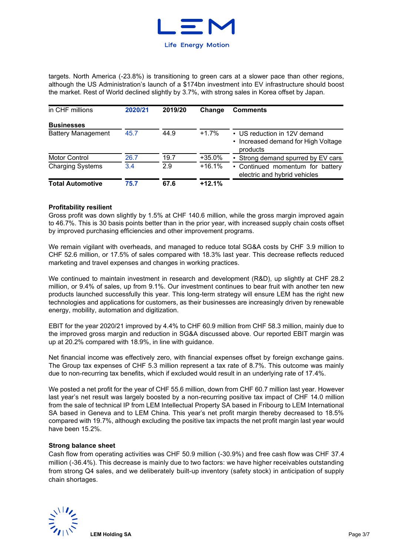

targets. North America (-23.8%) is transitioning to green cars at a slower pace than other regions, although the US Administration's launch of a \$174bn investment into EV infrastructure should boost the market. Rest of World declined slightly by 3.7%, with strong sales in Korea offset by Japan.

| in CHF millions           | 2020/21 | 2019/20 | Change   | <b>Comments</b>                                                                 |  |  |  |  |
|---------------------------|---------|---------|----------|---------------------------------------------------------------------------------|--|--|--|--|
| <b>Businesses</b>         |         |         |          |                                                                                 |  |  |  |  |
| <b>Battery Management</b> | 45.7    | 44.9    | $+1.7%$  | • US reduction in 12V demand<br>• Increased demand for High Voltage<br>products |  |  |  |  |
| <b>Motor Control</b>      | 26.7    | 19.7    | $+35.0%$ | • Strong demand spurred by EV cars                                              |  |  |  |  |
| <b>Charging Systems</b>   | 3.4     | 2.9     | $+16.1%$ | • Continued momentum for battery<br>electric and hybrid vehicles                |  |  |  |  |
| <b>Total Automotive</b>   | 75.7    | 67.6    | $+12.1%$ |                                                                                 |  |  |  |  |

### **Profitability resilient**

Gross profit was down slightly by 1.5% at CHF 140.6 million, while the gross margin improved again to 46.7%. This is 30 basis points better than in the prior year, with increased supply chain costs offset by improved purchasing efficiencies and other improvement programs.

We remain vigilant with overheads, and managed to reduce total SG&A costs by CHF 3.9 million to CHF 52.6 million, or 17.5% of sales compared with 18.3% last year. This decrease reflects reduced marketing and travel expenses and changes in working practices.

We continued to maintain investment in research and development (R&D), up slightly at CHF 28.2 million, or 9.4% of sales, up from 9.1%. Our investment continues to bear fruit with another ten new products launched successfully this year. This long-term strategy will ensure LEM has the right new technologies and applications for customers, as their businesses are increasingly driven by renewable energy, mobility, automation and digitization.

EBIT for the year 2020/21 improved by 4.4% to CHF 60.9 million from CHF 58.3 million, mainly due to the improved gross margin and reduction in SG&A discussed above. Our reported EBIT margin was up at 20.2% compared with 18.9%, in line with guidance.

Net financial income was effectively zero, with financial expenses offset by foreign exchange gains. The Group tax expenses of CHF 5.3 million represent a tax rate of 8.7%. This outcome was mainly due to non-recurring tax benefits, which if excluded would result in an underlying rate of 17.4%.

We posted a net profit for the year of CHF 55.6 million, down from CHF 60.7 million last year. However last year's net result was largely boosted by a non-recurring positive tax impact of CHF 14.0 million from the sale of technical IP from LEM Intellectual Property SA based in Fribourg to LEM International SA based in Geneva and to LEM China. This year's net profit margin thereby decreased to 18.5% compared with 19.7%, although excluding the positive tax impacts the net profit margin last year would have been 15.2%.

### **Strong balance sheet**

Cash flow from operating activities was CHF 50.9 million (-30.9%) and free cash flow was CHF 37.4 million (-36.4%). This decrease is mainly due to two factors: we have higher receivables outstanding from strong Q4 sales, and we deliberately built-up inventory (safety stock) in anticipation of supply chain shortages.

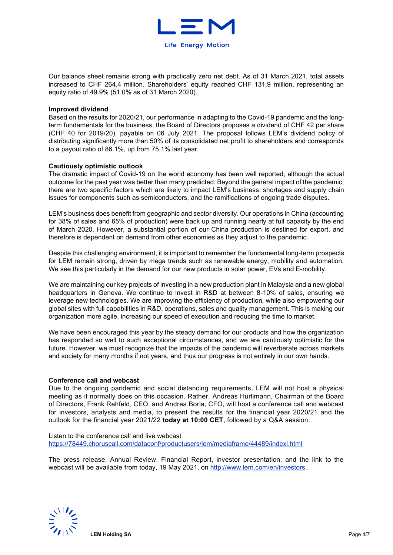

Our balance sheet remains strong with practically zero net debt. As of 31 March 2021, total assets increased to CHF 264.4 million. Shareholders' equity reached CHF 131.9 million, representing an equity ratio of 49.9% (51.0% as of 31 March 2020).

### **Improved dividend**

Based on the results for 2020/21, our performance in adapting to the Covid-19 pandemic and the longterm fundamentals for the business, the Board of Directors proposes a dividend of CHF 42 per share (CHF 40 for 2019/20), payable on 06 July 2021. The proposal follows LEM's dividend policy of distributing significantly more than 50% of its consolidated net profit to shareholders and corresponds to a payout ratio of 86.1%, up from 75.1% last year.

### **Cautiously optimistic outlook**

The dramatic impact of Covid-19 on the world economy has been well reported, although the actual outcome for the past year was better than many predicted. Beyond the general impact of the pandemic, there are two specific factors which are likely to impact LEM's business: shortages and supply chain issues for components such as semiconductors, and the ramifications of ongoing trade disputes.

LEM's business does benefit from geographic and sector diversity. Our operations in China (accounting for 38% of sales and 65% of production) were back up and running nearly at full capacity by the end of March 2020. However, a substantial portion of our China production is destined for export, and therefore is dependent on demand from other economies as they adjust to the pandemic.

Despite this challenging environment, it is important to remember the fundamental long-term prospects for LEM remain strong, driven by mega trends such as renewable energy, mobility and automation. We see this particularly in the demand for our new products in solar power, EVs and E-mobility.

We are maintaining our key projects of investing in a new production plant in Malaysia and a new global headquarters in Geneva. We continue to invest in R&D at between 8-10% of sales, ensuring we leverage new technologies. We are improving the efficiency of production, while also empowering our global sites with full capabilities in R&D, operations, sales and quality management. This is making our organization more agile, increasing our speed of execution and reducing the time to market.

We have been encouraged this year by the steady demand for our products and how the organization has responded so well to such exceptional circumstances, and we are cautiously optimistic for the future. However, we must recognize that the impacts of the pandemic will reverberate across markets and society for many months if not years, and thus our progress is not entirely in our own hands.

### **Conference call and webcast**

Due to the ongoing pandemic and social distancing requirements, LEM will not host a physical meeting as it normally does on this occasion. Rather, Andreas Hürlimann, Chairman of the Board of Directors, Frank Rehfeld, CEO, and Andrea Borla, CFO, will host a conference call and webcast for investors, analysts and media, to present the results for the financial year 2020/21 and the outlook for the financial year 2021/22 **today at 10:00 CET**, followed by a Q&A session.

Listen to the conference call and live webcast <https://78449.choruscall.com/dataconf/productusers/lem/mediaframe/44489/indexl.html>

The press release, Annual Review, Financial Report, investor presentation, and the link to the webcast will be available from today, 19 May 2021, on [http://www.lem.com/en/investors.](http://www.lem.com/en/investors)

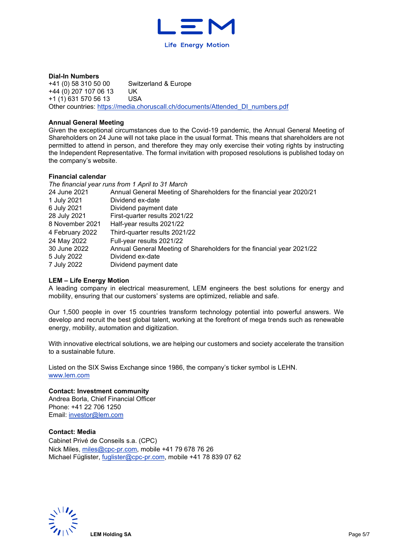

**Dial-In Numbers**<br>+41 (0) 58 310 50 00 Switzerland & Europe +44 (0) 207 107 06 13 UK  $+1$  (1) 631 570 56 13 Other countries: [https://media.choruscall.ch/documents/Attended\\_DI\\_numbers.pdf](https://media.choruscall.ch/documents/Attended_DI_numbers.pdf) 

### **Annual General Meeting**

Given the exceptional circumstances due to the Covid-19 pandemic, the Annual General Meeting of Shareholders on 24 June will not take place in the usual format. This means that shareholders are not permitted to attend in person, and therefore they may only exercise their voting rights by instructing the Independent Representative. The formal invitation with proposed resolutions is published today on the company's website.

### **Financial calendar**

|                 | The financial year runs from 1 April to 31 March                      |
|-----------------|-----------------------------------------------------------------------|
| 24 June 2021    | Annual General Meeting of Shareholders for the financial year 2020/21 |
| 1 July 2021     | Dividend ex-date                                                      |
| 6 July 2021     | Dividend payment date                                                 |
| 28 July 2021    | First-quarter results 2021/22                                         |
| 8 November 2021 | Half-year results 2021/22                                             |
| 4 February 2022 | Third-quarter results 2021/22                                         |
| 24 May 2022     | Full-year results 2021/22                                             |
| 30 June 2022    | Annual General Meeting of Shareholders for the financial year 2021/22 |
| 5 July 2022     | Dividend ex-date                                                      |
| 7 July 2022     | Dividend payment date                                                 |

### **LEM – Life Energy Motion**

A leading company in electrical measurement, LEM engineers the best solutions for energy and mobility, ensuring that our customers' systems are optimized, reliable and safe.

Our 1,500 people in over 15 countries transform technology potential into powerful answers. We develop and recruit the best global talent, working at the forefront of mega trends such as renewable energy, mobility, automation and digitization.

With innovative electrical solutions, we are helping our customers and society accelerate the transition to a sustainable future.

Listed on the SIX Swiss Exchange since 1986, the company's ticker symbol is LEHN. [www.lem.com](http://www.lem.com/) 

### **Contact: Investment community**

Andrea Borla, Chief Financial Officer Phone: +41 22 706 1250 Email: [investor@lem.com](mailto:investor@lem.com) 

### **Contact: Media**

Cabinet Privé de Conseils s.a. (CPC) Nick Miles, [miles@cpc-pr.com,](mailto:miles@cpc-pr.com) mobile +41 79 678 76 26 Michael Füglister, [fuglister@cpc-pr.com,](mailto:fuglister@cpc-pr.com) mobile +41 78 839 07 62

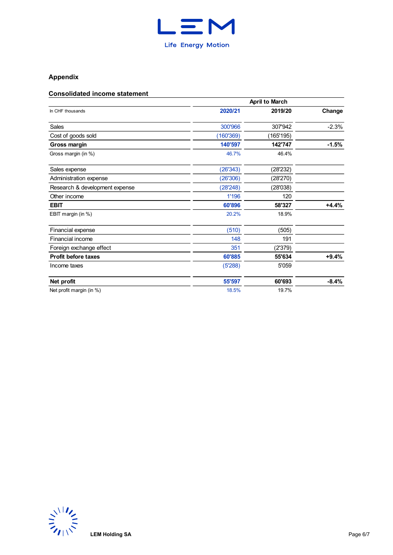

# **Appendix**

### **Consolidated income statement**

|                                | <b>April to March</b> |           |         |  |  |  |  |
|--------------------------------|-----------------------|-----------|---------|--|--|--|--|
| In CHF thousands               | 2020/21               | 2019/20   | Change  |  |  |  |  |
| Sales                          | 300'966               | 307'942   | $-2.3%$ |  |  |  |  |
| Cost of goods sold             | (160'369)             | (165'195) |         |  |  |  |  |
| Gross margin                   | 140'597               | 142'747   | $-1.5%$ |  |  |  |  |
| Gross margin (in %)            | 46.7%                 | 46.4%     |         |  |  |  |  |
| Sales expense                  | (26'343)              | (28'232)  |         |  |  |  |  |
| Administration expense         | (26'306)              | (28'270)  |         |  |  |  |  |
| Research & development expense | (28'248)              | (28'038)  |         |  |  |  |  |
| Other income                   | 1'196                 | 120       |         |  |  |  |  |
| <b>EBIT</b>                    | 60'896                | 58'327    | $+4.4%$ |  |  |  |  |
| EBIT margin (in %)             | 20.2%                 | 18.9%     |         |  |  |  |  |
| Financial expense              | (510)                 | (505)     |         |  |  |  |  |
| Financial income               | 148                   | 191       |         |  |  |  |  |
| Foreign exchange effect        | 351                   | (2'379)   |         |  |  |  |  |
| <b>Profit before taxes</b>     | 60'885                | 55'634    | $+9.4%$ |  |  |  |  |
| Income taxes                   | (5'288)               | 5'059     |         |  |  |  |  |
| Net profit                     | 55'597                | 60'693    | $-8.4%$ |  |  |  |  |
| Net profit margin (in %)       | 18.5%                 | 19.7%     |         |  |  |  |  |